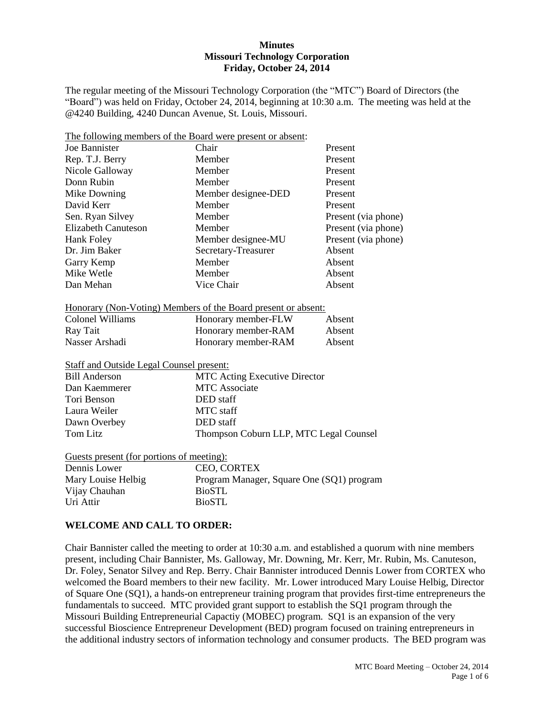#### **Minutes Missouri Technology Corporation Friday, October 24, 2014**

The regular meeting of the Missouri Technology Corporation (the "MTC") Board of Directors (the "Board") was held on Friday, October 24, 2014, beginning at 10:30 a.m. The meeting was held at the @4240 Building, 4240 Duncan Avenue, St. Louis, Missouri.

|                                                 | The following members of the Board were present or absent:    |                                        |  |  |
|-------------------------------------------------|---------------------------------------------------------------|----------------------------------------|--|--|
| Joe Bannister                                   | Chair<br>Present                                              |                                        |  |  |
| Rep. T.J. Berry                                 | Member<br>Present                                             |                                        |  |  |
| Nicole Galloway                                 | Member                                                        | Present                                |  |  |
| Donn Rubin                                      | Member<br>Present                                             |                                        |  |  |
| Mike Downing                                    | Member designee-DED<br>Present                                |                                        |  |  |
| David Kerr                                      | Member<br>Present                                             |                                        |  |  |
| Sen. Ryan Silvey                                | Member                                                        | Present (via phone)                    |  |  |
| <b>Elizabeth Canuteson</b>                      | Member                                                        | Present (via phone)                    |  |  |
| <b>Hank Foley</b>                               | Member designee-MU                                            | Present (via phone)                    |  |  |
| Dr. Jim Baker                                   | Secretary-Treasurer                                           | Absent                                 |  |  |
| Garry Kemp                                      | Member                                                        | Absent                                 |  |  |
| Mike Wetle                                      | Member<br>Absent                                              |                                        |  |  |
| Dan Mehan                                       | Vice Chair<br>Absent                                          |                                        |  |  |
|                                                 |                                                               |                                        |  |  |
|                                                 | Honorary (Non-Voting) Members of the Board present or absent: |                                        |  |  |
| <b>Colonel Williams</b>                         | Honorary member-FLW                                           | Absent                                 |  |  |
| Ray Tait                                        | Honorary member-RAM                                           | Absent                                 |  |  |
| Nasser Arshadi                                  | Honorary member-RAM                                           | Absent                                 |  |  |
|                                                 |                                                               |                                        |  |  |
| <b>Staff and Outside Legal Counsel present:</b> |                                                               |                                        |  |  |
| <b>Bill Anderson</b>                            |                                                               | <b>MTC Acting Executive Director</b>   |  |  |
| Dan Kaemmerer                                   | <b>MTC</b> Associate                                          |                                        |  |  |
| Tori Benson                                     | DED staff                                                     |                                        |  |  |
| Laura Weiler                                    | <b>MTC</b> staff                                              |                                        |  |  |
| Dawn Overbey                                    | DED staff                                                     |                                        |  |  |
| <b>Tom Litz</b>                                 |                                                               | Thompson Coburn LLP, MTC Legal Counsel |  |  |
|                                                 |                                                               |                                        |  |  |
| Guests present (for portions of meeting):       |                                                               |                                        |  |  |
| Dennis Lower                                    | CEO, CORTEX                                                   |                                        |  |  |
| Mary Louise Helbig                              | Program Manager, Square One (SQ1) program                     |                                        |  |  |
| Vijay Chauhan                                   | <b>BioSTL</b>                                                 |                                        |  |  |
| Uri Attir                                       | <b>BioSTL</b>                                                 |                                        |  |  |

#### **WELCOME AND CALL TO ORDER:**

Chair Bannister called the meeting to order at 10:30 a.m. and established a quorum with nine members present, including Chair Bannister, Ms. Galloway, Mr. Downing, Mr. Kerr, Mr. Rubin, Ms. Canuteson, Dr. Foley, Senator Silvey and Rep. Berry. Chair Bannister introduced Dennis Lower from CORTEX who welcomed the Board members to their new facility. Mr. Lower introduced Mary Louise Helbig, Director of Square One (SQ1), a hands-on entrepreneur training program that provides first-time entrepreneurs the fundamentals to succeed. MTC provided grant support to establish the SQ1 program through the Missouri Building Entrepreneurial Capactiy (MOBEC) program. SQ1 is an expansion of the very successful Bioscience Entrepreneur Development (BED) program focused on training entrepreneurs in the additional industry sectors of information technology and consumer products. The BED program was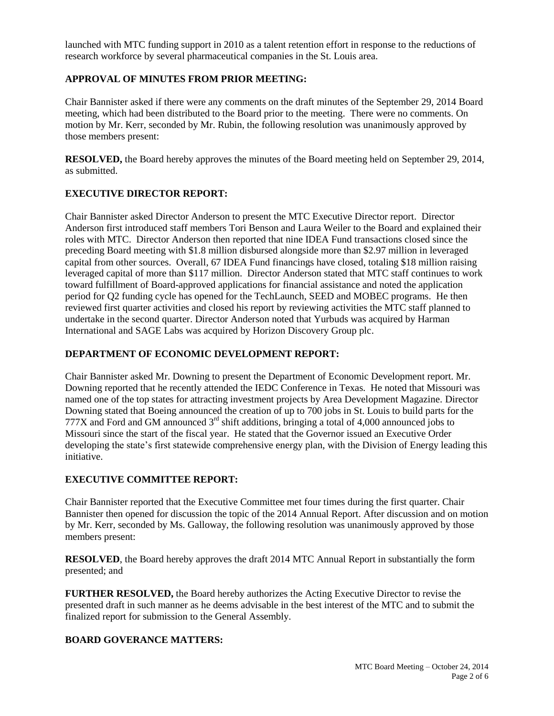launched with MTC funding support in 2010 as a talent retention effort in response to the reductions of research workforce by several pharmaceutical companies in the St. Louis area.

# **APPROVAL OF MINUTES FROM PRIOR MEETING:**

Chair Bannister asked if there were any comments on the draft minutes of the September 29, 2014 Board meeting, which had been distributed to the Board prior to the meeting. There were no comments. On motion by Mr. Kerr, seconded by Mr. Rubin, the following resolution was unanimously approved by those members present:

**RESOLVED,** the Board hereby approves the minutes of the Board meeting held on September 29, 2014, as submitted.

## **EXECUTIVE DIRECTOR REPORT:**

Chair Bannister asked Director Anderson to present the MTC Executive Director report. Director Anderson first introduced staff members Tori Benson and Laura Weiler to the Board and explained their roles with MTC. Director Anderson then reported that nine IDEA Fund transactions closed since the preceding Board meeting with \$1.8 million disbursed alongside more than \$2.97 million in leveraged capital from other sources. Overall, 67 IDEA Fund financings have closed, totaling \$18 million raising leveraged capital of more than \$117 million. Director Anderson stated that MTC staff continues to work toward fulfillment of Board-approved applications for financial assistance and noted the application period for Q2 funding cycle has opened for the TechLaunch, SEED and MOBEC programs. He then reviewed first quarter activities and closed his report by reviewing activities the MTC staff planned to undertake in the second quarter. Director Anderson noted that Yurbuds was acquired by Harman International and SAGE Labs was acquired by Horizon Discovery Group plc.

#### **DEPARTMENT OF ECONOMIC DEVELOPMENT REPORT:**

Chair Bannister asked Mr. Downing to present the Department of Economic Development report. Mr. Downing reported that he recently attended the IEDC Conference in Texas. He noted that Missouri was named one of the top states for attracting investment projects by Area Development Magazine. Director Downing stated that Boeing announced the creation of up to 700 jobs in St. Louis to build parts for the 777X and Ford and GM announced  $3<sup>rd</sup>$  shift additions, bringing a total of 4,000 announced jobs to Missouri since the start of the fiscal year. He stated that the Governor issued an Executive Order developing the state's first statewide comprehensive energy plan, with the Division of Energy leading this initiative.

# **EXECUTIVE COMMITTEE REPORT:**

Chair Bannister reported that the Executive Committee met four times during the first quarter. Chair Bannister then opened for discussion the topic of the 2014 Annual Report. After discussion and on motion by Mr. Kerr, seconded by Ms. Galloway, the following resolution was unanimously approved by those members present:

**RESOLVED**, the Board hereby approves the draft 2014 MTC Annual Report in substantially the form presented; and

**FURTHER RESOLVED,** the Board hereby authorizes the Acting Executive Director to revise the presented draft in such manner as he deems advisable in the best interest of the MTC and to submit the finalized report for submission to the General Assembly.

#### **BOARD GOVERANCE MATTERS:**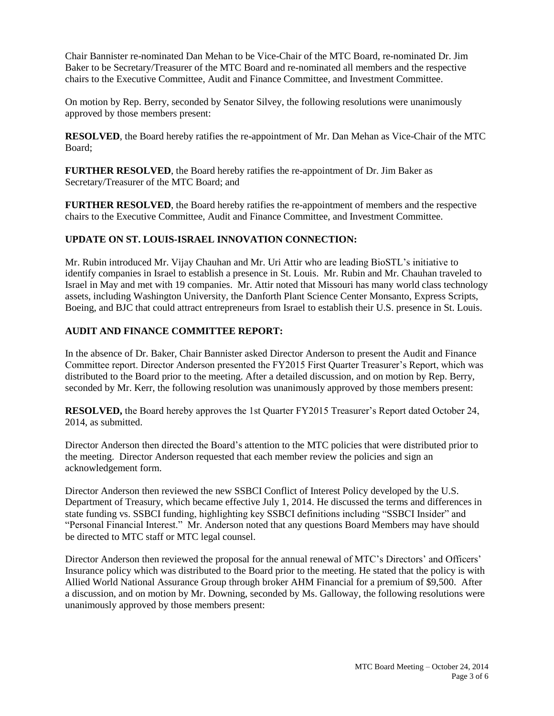Chair Bannister re-nominated Dan Mehan to be Vice-Chair of the MTC Board, re-nominated Dr. Jim Baker to be Secretary/Treasurer of the MTC Board and re-nominated all members and the respective chairs to the Executive Committee, Audit and Finance Committee, and Investment Committee.

On motion by Rep. Berry, seconded by Senator Silvey, the following resolutions were unanimously approved by those members present:

**RESOLVED**, the Board hereby ratifies the re-appointment of Mr. Dan Mehan as Vice-Chair of the MTC Board;

**FURTHER RESOLVED**, the Board hereby ratifies the re-appointment of Dr. Jim Baker as Secretary/Treasurer of the MTC Board; and

**FURTHER RESOLVED**, the Board hereby ratifies the re-appointment of members and the respective chairs to the Executive Committee, Audit and Finance Committee, and Investment Committee.

## **UPDATE ON ST. LOUIS-ISRAEL INNOVATION CONNECTION:**

Mr. Rubin introduced Mr. Vijay Chauhan and Mr. Uri Attir who are leading BioSTL's initiative to identify companies in Israel to establish a presence in St. Louis. Mr. Rubin and Mr. Chauhan traveled to Israel in May and met with 19 companies. Mr. Attir noted that Missouri has many world class technology assets, including Washington University, the Danforth Plant Science Center Monsanto, Express Scripts, Boeing, and BJC that could attract entrepreneurs from Israel to establish their U.S. presence in St. Louis.

## **AUDIT AND FINANCE COMMITTEE REPORT:**

In the absence of Dr. Baker, Chair Bannister asked Director Anderson to present the Audit and Finance Committee report. Director Anderson presented the FY2015 First Quarter Treasurer's Report, which was distributed to the Board prior to the meeting. After a detailed discussion, and on motion by Rep. Berry, seconded by Mr. Kerr, the following resolution was unanimously approved by those members present:

**RESOLVED,** the Board hereby approves the 1st Quarter FY2015 Treasurer's Report dated October 24, 2014, as submitted.

Director Anderson then directed the Board's attention to the MTC policies that were distributed prior to the meeting. Director Anderson requested that each member review the policies and sign an acknowledgement form.

Director Anderson then reviewed the new SSBCI Conflict of Interest Policy developed by the U.S. Department of Treasury, which became effective July 1, 2014. He discussed the terms and differences in state funding vs. SSBCI funding, highlighting key SSBCI definitions including "SSBCI Insider" and "Personal Financial Interest." Mr. Anderson noted that any questions Board Members may have should be directed to MTC staff or MTC legal counsel.

Director Anderson then reviewed the proposal for the annual renewal of MTC's Directors' and Officers' Insurance policy which was distributed to the Board prior to the meeting. He stated that the policy is with Allied World National Assurance Group through broker AHM Financial for a premium of \$9,500. After a discussion, and on motion by Mr. Downing, seconded by Ms. Galloway, the following resolutions were unanimously approved by those members present: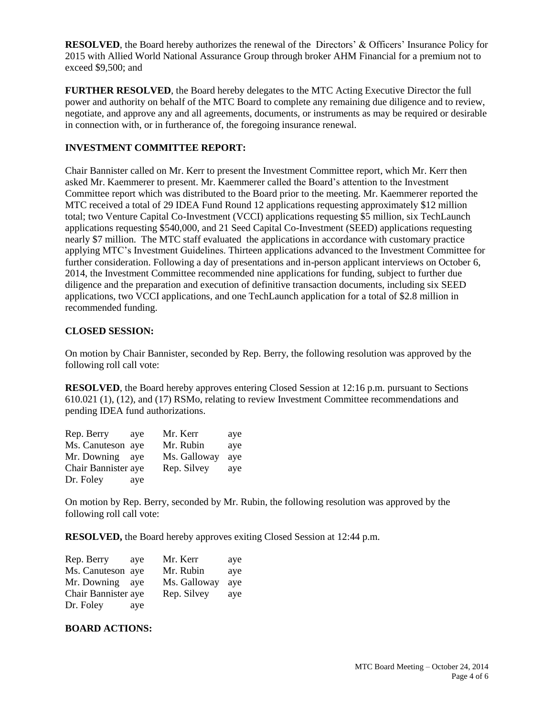**RESOLVED**, the Board hereby authorizes the renewal of the Directors' & Officers' Insurance Policy for 2015 with Allied World National Assurance Group through broker AHM Financial for a premium not to exceed \$9,500; and

**FURTHER RESOLVED**, the Board hereby delegates to the MTC Acting Executive Director the full power and authority on behalf of the MTC Board to complete any remaining due diligence and to review, negotiate, and approve any and all agreements, documents, or instruments as may be required or desirable in connection with, or in furtherance of, the foregoing insurance renewal.

### **INVESTMENT COMMITTEE REPORT:**

Chair Bannister called on Mr. Kerr to present the Investment Committee report, which Mr. Kerr then asked Mr. Kaemmerer to present. Mr. Kaemmerer called the Board's attention to the Investment Committee report which was distributed to the Board prior to the meeting. Mr. Kaemmerer reported the MTC received a total of 29 IDEA Fund Round 12 applications requesting approximately \$12 million total; two Venture Capital Co-Investment (VCCI) applications requesting \$5 million, six TechLaunch applications requesting \$540,000, and 21 Seed Capital Co-Investment (SEED) applications requesting nearly \$7 million. The MTC staff evaluated the applications in accordance with customary practice applying MTC's Investment Guidelines. Thirteen applications advanced to the Investment Committee for further consideration. Following a day of presentations and in-person applicant interviews on October 6, 2014, the Investment Committee recommended nine applications for funding, subject to further due diligence and the preparation and execution of definitive transaction documents, including six SEED applications, two VCCI applications, and one TechLaunch application for a total of \$2.8 million in recommended funding.

## **CLOSED SESSION:**

On motion by Chair Bannister, seconded by Rep. Berry, the following resolution was approved by the following roll call vote:

**RESOLVED**, the Board hereby approves entering Closed Session at 12:16 p.m. pursuant to Sections 610.021 (1), (12), and (17) RSMo, relating to review Investment Committee recommendations and pending IDEA fund authorizations.

| Rep. Berry          | ave | Mr. Kerr     | aye |
|---------------------|-----|--------------|-----|
| Ms. Canuteson aye   |     | Mr. Rubin    | aye |
| Mr. Downing         | ave | Ms. Galloway | ave |
| Chair Bannister aye |     | Rep. Silvey  | aye |
| Dr. Foley           | aye |              |     |

On motion by Rep. Berry, seconded by Mr. Rubin, the following resolution was approved by the following roll call vote:

**RESOLVED,** the Board hereby approves exiting Closed Session at 12:44 p.m.

| Rep. Berry          | ave | Mr. Kerr     | aye |
|---------------------|-----|--------------|-----|
| Ms. Canuteson aye   |     | Mr. Rubin    | aye |
| Mr. Downing         | ave | Ms. Galloway | ave |
| Chair Bannister aye |     | Rep. Silvey  | aye |
| Dr. Foley           | aye |              |     |

#### **BOARD ACTIONS:**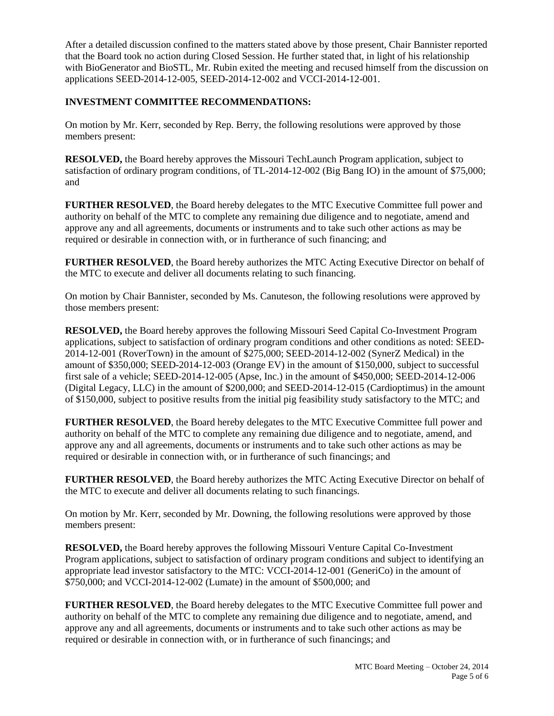After a detailed discussion confined to the matters stated above by those present, Chair Bannister reported that the Board took no action during Closed Session. He further stated that, in light of his relationship with BioGenerator and BioSTL, Mr. Rubin exited the meeting and recused himself from the discussion on applications SEED-2014-12-005, SEED-2014-12-002 and VCCI-2014-12-001.

# **INVESTMENT COMMITTEE RECOMMENDATIONS:**

On motion by Mr. Kerr, seconded by Rep. Berry, the following resolutions were approved by those members present:

**RESOLVED,** the Board hereby approves the Missouri TechLaunch Program application, subject to satisfaction of ordinary program conditions, of TL-2014-12-002 (Big Bang IO) in the amount of \$75,000; and

**FURTHER RESOLVED**, the Board hereby delegates to the MTC Executive Committee full power and authority on behalf of the MTC to complete any remaining due diligence and to negotiate, amend and approve any and all agreements, documents or instruments and to take such other actions as may be required or desirable in connection with, or in furtherance of such financing; and

**FURTHER RESOLVED**, the Board hereby authorizes the MTC Acting Executive Director on behalf of the MTC to execute and deliver all documents relating to such financing.

On motion by Chair Bannister, seconded by Ms. Canuteson, the following resolutions were approved by those members present:

**RESOLVED,** the Board hereby approves the following Missouri Seed Capital Co-Investment Program applications, subject to satisfaction of ordinary program conditions and other conditions as noted: SEED-2014-12-001 (RoverTown) in the amount of \$275,000; SEED-2014-12-002 (SynerZ Medical) in the amount of \$350,000; SEED-2014-12-003 (Orange EV) in the amount of \$150,000, subject to successful first sale of a vehicle; SEED-2014-12-005 (Apse, Inc.) in the amount of \$450,000; SEED-2014-12-006 (Digital Legacy, LLC) in the amount of \$200,000; and SEED-2014-12-015 (Cardioptimus) in the amount of \$150,000, subject to positive results from the initial pig feasibility study satisfactory to the MTC; and

**FURTHER RESOLVED**, the Board hereby delegates to the MTC Executive Committee full power and authority on behalf of the MTC to complete any remaining due diligence and to negotiate, amend, and approve any and all agreements, documents or instruments and to take such other actions as may be required or desirable in connection with, or in furtherance of such financings; and

**FURTHER RESOLVED**, the Board hereby authorizes the MTC Acting Executive Director on behalf of the MTC to execute and deliver all documents relating to such financings.

On motion by Mr. Kerr, seconded by Mr. Downing, the following resolutions were approved by those members present:

**RESOLVED,** the Board hereby approves the following Missouri Venture Capital Co-Investment Program applications, subject to satisfaction of ordinary program conditions and subject to identifying an appropriate lead investor satisfactory to the MTC: VCCI-2014-12-001 (GeneriCo) in the amount of \$750,000; and VCCI-2014-12-002 (Lumate) in the amount of \$500,000; and

**FURTHER RESOLVED**, the Board hereby delegates to the MTC Executive Committee full power and authority on behalf of the MTC to complete any remaining due diligence and to negotiate, amend, and approve any and all agreements, documents or instruments and to take such other actions as may be required or desirable in connection with, or in furtherance of such financings; and